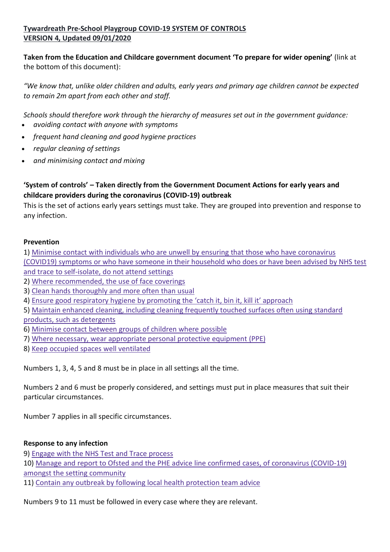# **Tywardreath Pre-School Playgroup COVID-19 SYSTEM OF CONTROLS VERSION 4, Updated 09/01/2020**

**Taken from the Education and Childcare government document 'To prepare for wider opening'** (link at the bottom of this document):

*"We know that, unlike older children and adults, early years and primary age children cannot be expected to remain 2m apart from each other and staff.*

*Schools should therefore work through the hierarchy of measures set out in the government guidance:*

- *avoiding contact with anyone with symptoms*
- *frequent hand cleaning and good hygiene practices*
- *regular cleaning of settings*
- *and minimising contact and mixing*

# **'System of controls' – Taken directly from the Government Document Actions for early years and childcare providers during the coronavirus (COVID-19) outbreak**

This is the set of actions early years settings must take. They are grouped into prevention and response to any infection.

#### **Prevention**

1) Minimise contact with individuals who are unwell by ensuring that those who have [coronavirus](https://www.gov.uk/government/publications/coronavirus-covid-19-early-years-and-childcare-closures/coronavirus-covid-19-early-years-and-childcare-closures#minimise) (COVID19) symptoms or who have someone in their [household](https://www.gov.uk/government/publications/coronavirus-covid-19-early-years-and-childcare-closures/coronavirus-covid-19-early-years-and-childcare-closures#minimise) who does or have been advised by NHS test and trace to [self-isolate,](https://www.gov.uk/government/publications/coronavirus-covid-19-early-years-and-childcare-closures/coronavirus-covid-19-early-years-and-childcare-closures#minimise) do not attend settings

- 2) Where [recommended,](https://www.gov.uk/government/publications/coronavirus-covid-19-early-years-and-childcare-closures/coronavirus-covid-19-early-years-and-childcare-closures#face) the use of face coverings
- 3) Clean hands [thoroughly](https://www.gov.uk/government/publications/coronavirus-covid-19-early-years-and-childcare-closures/coronavirus-covid-19-early-years-and-childcare-closures#clean) and more often than usual
- 4) Ensure good [respiratory](https://www.gov.uk/government/publications/coronavirus-covid-19-early-years-and-childcare-closures/coronavirus-covid-19-early-years-and-childcare-closures#bin) hygiene by promoting the 'catch it, bin it, kill it' approach
- 5) Maintain enhanced cleaning, including cleaning [frequently](https://www.gov.uk/government/publications/coronavirus-covid-19-early-years-and-childcare-closures/coronavirus-covid-19-early-years-and-childcare-closures#detergent) touched surfaces often using standard products, such as [detergents](https://www.gov.uk/government/publications/coronavirus-covid-19-early-years-and-childcare-closures/coronavirus-covid-19-early-years-and-childcare-closures#detergent)
- 6) [Minimise](https://www.gov.uk/government/publications/coronavirus-covid-19-early-years-and-childcare-closures/coronavirus-covid-19-early-years-and-childcare-closures#groups) contact between groups of children where possible
- 7) Where necessary, wear [appropriate](https://www.gov.uk/government/publications/coronavirus-covid-19-early-years-and-childcare-closures/coronavirus-covid-19-early-years-and-childcare-closures#protective) personal protective equipment (PPE)
- 8) Keep occupied spaces well [ventilated](https://www.gov.uk/government/publications/coronavirus-covid-19-early-years-and-childcare-closures/coronavirus-covid-19-early-years-and-childcare-closures#ventilated)

Numbers 1, 3, 4, 5 and 8 must be in place in all settings all the time.

Numbers 2 and 6 must be properly considered, and settings must put in place measures that suit their particular circumstances.

Number 7 applies in all specific circumstances.

### **Response to any infection**

9) Engage with the NHS Test and Trace [process](https://www.gov.uk/government/publications/coronavirus-covid-19-early-years-and-childcare-closures/coronavirus-covid-19-early-years-and-childcare-closures#track)

10) Manage and report to Ofsted and the PHE advice line confirmed cases, of [coronavirus](https://www.gov.uk/government/publications/coronavirus-covid-19-early-years-and-childcare-closures/coronavirus-covid-19-early-years-and-childcare-closures#report) (COVID-19) amongst the setting [community](https://www.gov.uk/government/publications/coronavirus-covid-19-early-years-and-childcare-closures/coronavirus-covid-19-early-years-and-childcare-closures#report)

11) Contain any outbreak by following local health [protection](https://www.gov.uk/government/publications/coronavirus-covid-19-early-years-and-childcare-closures/coronavirus-covid-19-early-years-and-childcare-closures#team) team advice

Numbers 9 to 11 must be followed in every case where they are relevant.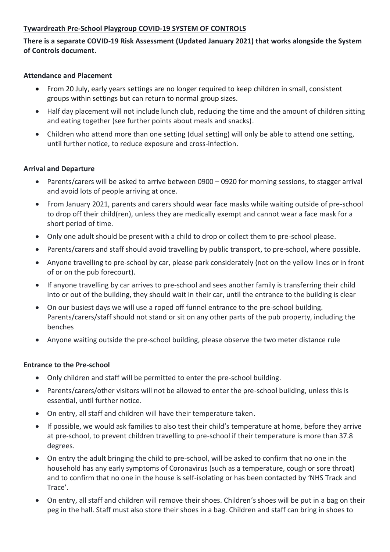#### **Tywardreath Pre-School Playgroup COVID-19 SYSTEM OF CONTROLS**

## **There is a separate COVID-19 Risk Assessment (Updated January 2021) that works alongside the System of Controls document.**

#### **Attendance and Placement**

- From 20 July, early years settings are no longer required to keep children in small, consistent groups within settings but can return to normal group sizes.
- Half day placement will not include lunch club, reducing the time and the amount of children sitting and eating together (see further points about meals and snacks).
- Children who attend more than one setting (dual setting) will only be able to attend one setting, until further notice, to reduce exposure and cross-infection.

#### **Arrival and Departure**

- Parents/carers will be asked to arrive between 0900 0920 for morning sessions, to stagger arrival and avoid lots of people arriving at once.
- From January 2021, parents and carers should wear face masks while waiting outside of pre-school to drop off their child(ren), unless they are medically exempt and cannot wear a face mask for a short period of time.
- Only one adult should be present with a child to drop or collect them to pre-school please.
- Parents/carers and staff should avoid travelling by public transport, to pre-school, where possible.
- Anyone travelling to pre-school by car, please park considerately (not on the yellow lines or in front of or on the pub forecourt).
- If anyone travelling by car arrives to pre-school and sees another family is transferring their child into or out of the building, they should wait in their car, until the entrance to the building is clear
- On our busiest days we will use a roped off funnel entrance to the pre-school building. Parents/carers/staff should not stand or sit on any other parts of the pub property, including the benches
- Anyone waiting outside the pre-school building, please observe the two meter distance rule

#### **Entrance to the Pre-school**

- Only children and staff will be permitted to enter the pre-school building.
- Parents/carers/other visitors will not be allowed to enter the pre-school building, unless this is essential, until further notice.
- On entry, all staff and children will have their temperature taken.
- If possible, we would ask families to also test their child's temperature at home, before they arrive at pre-school, to prevent children travelling to pre-school if their temperature is more than 37.8 degrees.
- On entry the adult bringing the child to pre-school, will be asked to confirm that no one in the household has any early symptoms of Coronavirus (such as a temperature, cough or sore throat) and to confirm that no one in the house is self-isolating or has been contacted by 'NHS Track and Trace'.
- On entry, all staff and children will remove their shoes. Children's shoes will be put in a bag on their peg in the hall. Staff must also store their shoes in a bag. Children and staff can bring in shoes to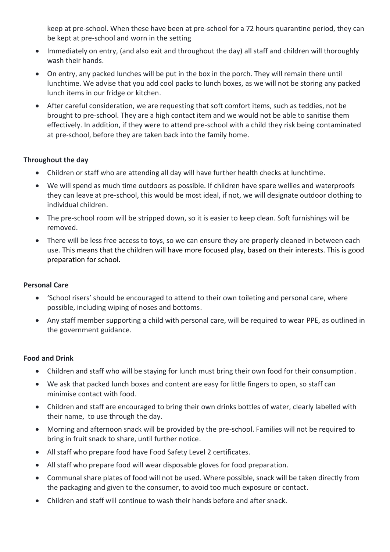keep at pre-school. When these have been at pre-school for a 72 hours quarantine period, they can be kept at pre-school and worn in the setting

- Immediately on entry, (and also exit and throughout the day) all staff and children will thoroughly wash their hands.
- On entry, any packed lunches will be put in the box in the porch. They will remain there until lunchtime. We advise that you add cool packs to lunch boxes, as we will not be storing any packed lunch items in our fridge or kitchen.
- After careful consideration, we are requesting that soft comfort items, such as teddies, not be brought to pre-school. They are a high contact item and we would not be able to sanitise them effectively. In addition, if they were to attend pre-school with a child they risk being contaminated at pre-school, before they are taken back into the family home.

### **Throughout the day**

- Children or staff who are attending all day will have further health checks at lunchtime.
- We will spend as much time outdoors as possible. If children have spare wellies and waterproofs they can leave at pre-school, this would be most ideal, if not, we will designate outdoor clothing to individual children.
- The pre-school room will be stripped down, so it is easier to keep clean. Soft furnishings will be removed.
- There will be less free access to toys, so we can ensure they are properly cleaned in between each use. This means that the children will have more focused play, based on their interests. This is good preparation for school.

### **Personal Care**

- 'School risers' should be encouraged to attend to their own toileting and personal care, where possible, including wiping of noses and bottoms.
- Any staff member supporting a child with personal care, will be required to wear PPE, as outlined in the government guidance.

### **Food and Drink**

- Children and staff who will be staying for lunch must bring their own food for their consumption.
- We ask that packed lunch boxes and content are easy for little fingers to open, so staff can minimise contact with food.
- Children and staff are encouraged to bring their own drinks bottles of water, clearly labelled with their name, to use through the day.
- Morning and afternoon snack will be provided by the pre-school. Families will not be required to bring in fruit snack to share, until further notice.
- All staff who prepare food have Food Safety Level 2 certificates.
- All staff who prepare food will wear disposable gloves for food preparation.
- Communal share plates of food will not be used. Where possible, snack will be taken directly from the packaging and given to the consumer, to avoid too much exposure or contact.
- Children and staff will continue to wash their hands before and after snack.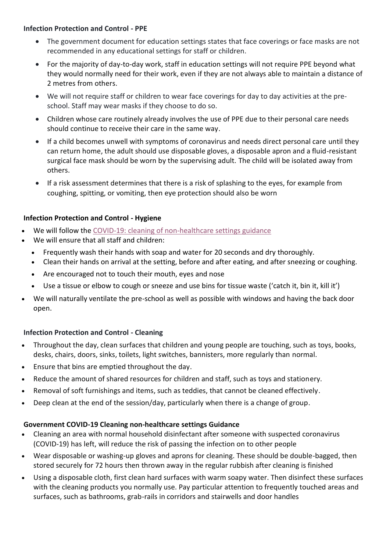#### **Infection Protection and Control - PPE**

- The government document for education settings states that face coverings or face masks are not recommended in any educational settings for staff or children.
- For the majority of day-to-day work, staff in education settings will not require PPE beyond what they would normally need for their work, even if they are not always able to maintain a distance of 2 metres from others.
- We will not require staff or children to wear face coverings for day to day activities at the preschool. Staff may wear masks if they choose to do so.
- Children whose care routinely already involves the use of PPE due to their personal care needs should continue to receive their care in the same way.
- If a child becomes unwell with symptoms of coronavirus and needs direct personal care until they can return home, the adult should use disposable gloves, a disposable apron and a fluid-resistant surgical face mask should be worn by the supervising adult. The child will be isolated away from others.
- If a risk assessment determines that there is a risk of splashing to the eyes, for example from coughing, spitting, or vomiting, then eye protection should also be worn

## **Infection Protection and Control - Hygiene**

- We will follow the COVID-19: cleaning of [non-healthcare](https://www.gov.uk/government/publications/covid-19-decontamination-in-non-healthcare-settings) settings guidance
- We will ensure that all staff and children:
	- Frequently wash their hands with soap and water for 20 seconds and dry thoroughly.
	- Clean their hands on arrival at the setting, before and after eating, and after sneezing or coughing.
	- Are encouraged not to touch their mouth, eyes and nose
	- Use a tissue or elbow to cough or sneeze and use bins for tissue waste ('catch it, bin it, kill it')
- We will naturally ventilate the pre-school as well as possible with windows and having the back door open.

### **Infection Protection and Control - Cleaning**

- Throughout the day, clean surfaces that children and young people are touching, such as toys, books, desks, chairs, doors, sinks, toilets, light switches, bannisters, more regularly than normal.
- Ensure that bins are emptied throughout the day.
- Reduce the amount of shared resources for children and staff, such as toys and stationery.
- Removal of soft furnishings and items, such as teddies, that cannot be cleaned effectively.
- Deep clean at the end of the session/day, particularly when there is a change of group.

### **Government COVID-19 Cleaning non-healthcare settings Guidance**

- Cleaning an area with normal household disinfectant after someone with suspected coronavirus (COVID-19) has left, will reduce the risk of passing the infection on to other people
- Wear disposable or washing-up gloves and aprons for cleaning. These should be double-bagged, then stored securely for 72 hours then thrown away in the regular rubbish after cleaning is finished
- Using a disposable cloth, first clean hard surfaces with warm soapy water. Then disinfect these surfaces with the cleaning products you normally use. Pay particular attention to frequently touched areas and surfaces, such as bathrooms, grab-rails in corridors and stairwells and door handles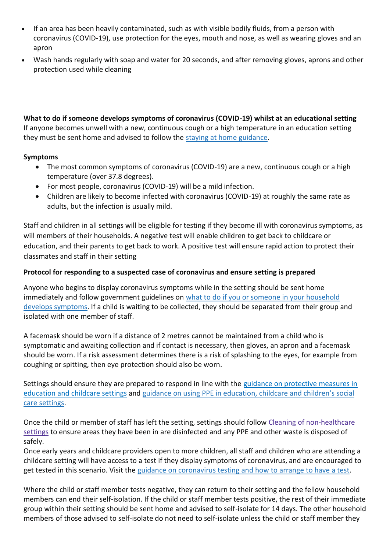- If an area has been heavily contaminated, such as with visible bodily fluids, from a person with coronavirus (COVID-19), use protection for the eyes, mouth and nose, as well as wearing gloves and an apron
- Wash hands regularly with soap and water for 20 seconds, and after removing gloves, aprons and other protection used while cleaning

**What to do if someone develops symptoms of coronavirus (COVID-19) whilst at an educational setting** If anyone becomes unwell with a new, continuous cough or a high temperature in an education setting they must be sent home and advised to follow the staying at home [guidance.](https://www.gov.uk/government/publications/covid-19-stay-at-home-guidance/stay-at-home-guidance-for-people-with-confirmed-or-possible-coronavirus-covid-19-infection)

## **Symptoms**

- The most common symptoms of coronavirus (COVID-19) are a new, continuous cough or a high temperature (over 37.8 degrees).
- For most people, coronavirus (COVID-19) will be a mild infection.
- Children are likely to become infected with coronavirus (COVID-19) at roughly the same rate as adults, but the infection is usually mild.

Staff and children in all settings will be eligible for testing if they become ill with coronavirus symptoms, as will members of their households. A negative test will enable children to get back to childcare or education, and their parents to get back to work. A positive test will ensure rapid action to protect their classmates and staff in their setting

# **Protocol for responding to a suspected case of coronavirus and ensure setting is prepared**

Anyone who begins to display coronavirus symptoms while in the setting should be sent home immediately and follow government guidelines on what to do if you or someone in your [household](https://www.gov.uk/government/publications/covid-19-stay-at-home-guidance) develops [symptoms.](https://www.gov.uk/government/publications/covid-19-stay-at-home-guidance) If a child is waiting to be collected, they should be separated from their group and isolated with one member of staff.

A facemask should be worn if a distance of 2 metres cannot be maintained from a child who is symptomatic and awaiting collection and if contact is necessary, then gloves, an apron and a facemask should be worn. If a risk assessment determines there is a risk of splashing to the eyes, for example from coughing or spitting, then eye protection should also be worn.

Settings should ensure they are prepared to respond in line with the guidance on [protective](https://www.gov.uk/government/publications/coronavirus-covid-19-implementing-protective-measures-in-education-and-childcare-settings) measures in [education](https://www.gov.uk/government/publications/coronavirus-covid-19-implementing-protective-measures-in-education-and-childcare-settings) and childcare settings and guidance on using PPE in [education,](https://www.gov.uk/government/publications/safe-working-in-education-childcare-and-childrens-social-care) childcare and children's social care [settings.](https://www.gov.uk/government/publications/safe-working-in-education-childcare-and-childrens-social-care)

Once the child or member of staff has left the setting, settings should follow Cleaning of [non-healthcare](https://www.gov.uk/government/publications/covid-19-decontamination-in-non-healthcare-settings/covid-19-decontamination-in-non-healthcare-settings) [settings](https://www.gov.uk/government/publications/covid-19-decontamination-in-non-healthcare-settings/covid-19-decontamination-in-non-healthcare-settings) to ensure areas they have been in are disinfected and any PPE and other waste is disposed of safely.

Once early years and childcare providers open to more children, all staff and children who are attending a childcare setting will have access to a test if they display symptoms of coronavirus, and are encouraged to get tested in this scenario. Visit the guidance on [coronavirus](https://www.nhs.uk/conditions/coronavirus-covid-19/testing-for-coronavirus/) testing and how to arrange to have a test.

Where the child or staff member tests negative, they can return to their setting and the fellow household members can end their self-isolation. If the child or staff member tests positive, the rest of their immediate group within their setting should be sent home and advised to self-isolate for 14 days. The other household members of those advised to self-isolate do not need to self-isolate unless the child or staff member they